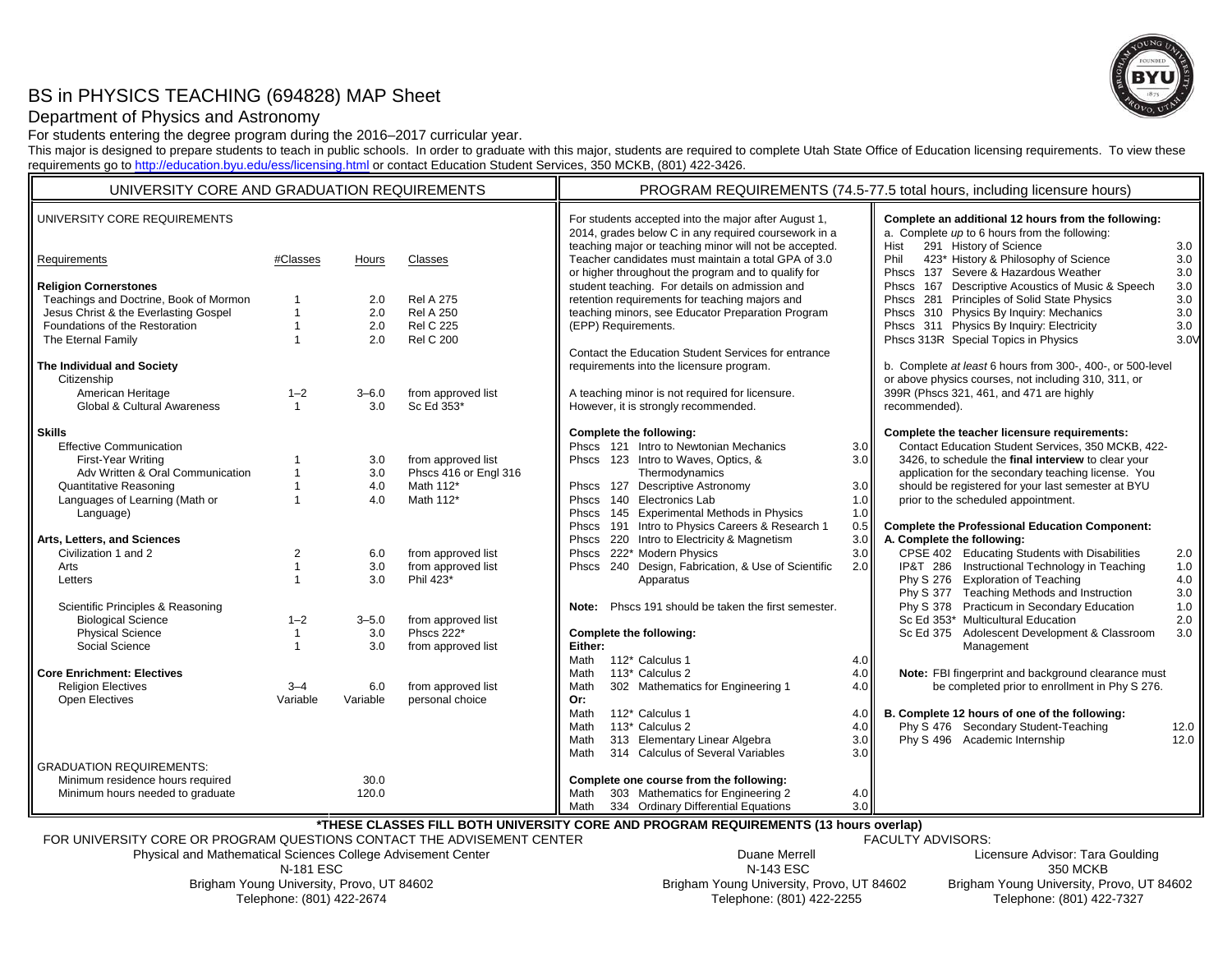# BS in PHYSICS TEACHING (694828) MAP Sheet



## Department of Physics and Astronomy

For students entering the degree program during the 2016–2017 curricular year.

This major is designed to prepare students to teach in public schools. In order to graduate with this major, students are required to complete Utah State Office of Education licensing requirements. To view these requirements go to http://education.byu.edu/ess/licensing.html or contact Education Student Services, 350 MCKB, (801) 422-3426.

| UNIVERSITY CORE AND GRADUATION REQUIREMENTS |                |                                                                        | PROGRAM REQUIREMENTS (74.5-77.5 total hours, including licensure hours) |                                                                                                                                                                        |     |                                                                                                                                        |            |
|---------------------------------------------|----------------|------------------------------------------------------------------------|-------------------------------------------------------------------------|------------------------------------------------------------------------------------------------------------------------------------------------------------------------|-----|----------------------------------------------------------------------------------------------------------------------------------------|------------|
| UNIVERSITY CORE REQUIREMENTS                |                |                                                                        |                                                                         | For students accepted into the major after August 1,<br>2014, grades below C in any required coursework in a<br>teaching major or teaching minor will not be accepted. |     | Complete an additional 12 hours from the following:<br>a. Complete up to 6 hours from the following:<br>291 History of Science<br>Hist | 3.0        |
| Requirements                                | #Classes       | Hours                                                                  | Classes                                                                 | Teacher candidates must maintain a total GPA of 3.0<br>or higher throughout the program and to qualify for                                                             |     | 423* History & Philosophy of Science<br>Phil<br>Phscs 137 Severe & Hazardous Weather                                                   | 3.0<br>3.0 |
| <b>Religion Cornerstones</b>                |                |                                                                        |                                                                         | student teaching. For details on admission and                                                                                                                         |     | Phscs 167 Descriptive Acoustics of Music & Speech                                                                                      | 3.0        |
| Teachings and Doctrine, Book of Mormon      |                | 2.0                                                                    | <b>Rel A 275</b>                                                        | retention requirements for teaching majors and                                                                                                                         |     | Phscs 281 Principles of Solid State Physics                                                                                            | 3.0        |
| Jesus Christ & the Everlasting Gospel       |                | 2.0                                                                    | <b>Rel A 250</b>                                                        | teaching minors, see Educator Preparation Program                                                                                                                      |     | Phscs 310 Physics By Inquiry: Mechanics                                                                                                | 3.0        |
| Foundations of the Restoration              |                | 2.0                                                                    | <b>Rel C 225</b>                                                        | (EPP) Requirements.                                                                                                                                                    |     | Phscs 311 Physics By Inquiry: Electricity                                                                                              | 3.0        |
| The Eternal Family                          |                | 2.0                                                                    | <b>Rel C 200</b>                                                        |                                                                                                                                                                        |     | Phscs 313R Special Topics in Physics                                                                                                   | 3.0V       |
|                                             |                |                                                                        |                                                                         | Contact the Education Student Services for entrance                                                                                                                    |     |                                                                                                                                        |            |
| The Individual and Society                  |                |                                                                        |                                                                         | requirements into the licensure program.                                                                                                                               |     | b. Complete at least 6 hours from 300-, 400-, or 500-level                                                                             |            |
| Citizenship                                 |                |                                                                        |                                                                         |                                                                                                                                                                        |     | or above physics courses, not including 310, 311, or                                                                                   |            |
| American Heritage                           | $1 - 2$        | $3 - 6.0$                                                              | from approved list                                                      | A teaching minor is not required for licensure.                                                                                                                        |     | 399R (Phscs 321, 461, and 471 are highly                                                                                               |            |
| Global & Cultural Awareness                 | $\mathbf{1}$   | 3.0                                                                    | Sc Ed 353*                                                              | However, it is strongly recommended.                                                                                                                                   |     | recommended).                                                                                                                          |            |
| <b>Skills</b>                               |                |                                                                        |                                                                         | Complete the following:                                                                                                                                                |     | Complete the teacher licensure requirements:                                                                                           |            |
| <b>Effective Communication</b>              |                |                                                                        |                                                                         | Phscs 121 Intro to Newtonian Mechanics                                                                                                                                 | 3.0 | Contact Education Student Services, 350 MCKB, 422-                                                                                     |            |
| First-Year Writing                          |                | 3.0                                                                    | from approved list                                                      | Phscs 123 Intro to Waves, Optics, &                                                                                                                                    | 3.0 | 3426, to schedule the final interview to clear your                                                                                    |            |
| Adv Written & Oral Communication            |                | 3.0                                                                    | Phscs 416 or Engl 316                                                   | Thermodynamics                                                                                                                                                         |     | application for the secondary teaching license. You                                                                                    |            |
| <b>Quantitative Reasoning</b>               |                | 4.0                                                                    | Math 112*                                                               | Phscs 127 Descriptive Astronomy                                                                                                                                        | 3.0 | should be registered for your last semester at BYU                                                                                     |            |
| Languages of Learning (Math or              |                | 4.0                                                                    | Math 112*                                                               | Phscs 140 Electronics Lab                                                                                                                                              | 1.0 | prior to the scheduled appointment.                                                                                                    |            |
| Language)                                   |                |                                                                        |                                                                         | Phscs 145 Experimental Methods in Physics                                                                                                                              | 1.0 |                                                                                                                                        |            |
|                                             |                |                                                                        |                                                                         | Phscs 191 Intro to Physics Careers & Research 1                                                                                                                        | 0.5 | <b>Complete the Professional Education Component:</b>                                                                                  |            |
| Arts, Letters, and Sciences                 |                |                                                                        |                                                                         | Phscs 220 Intro to Electricity & Magnetism                                                                                                                             | 3.0 | A. Complete the following:                                                                                                             |            |
| Civilization 1 and 2                        | $\overline{2}$ | 6.0                                                                    | from approved list                                                      | Phscs 222* Modern Physics                                                                                                                                              | 3.0 | CPSE 402 Educating Students with Disabilities                                                                                          | 2.0        |
| Arts                                        |                | 3.0                                                                    | from approved list                                                      | Phscs 240 Design, Fabrication, & Use of Scientific                                                                                                                     | 2.0 | IP&T 286 Instructional Technology in Teaching                                                                                          | 1.0        |
| Letters                                     |                | 3.0                                                                    | Phil 423*                                                               | Apparatus                                                                                                                                                              |     | Phy S 276 Exploration of Teaching                                                                                                      | 4.0        |
|                                             |                |                                                                        |                                                                         |                                                                                                                                                                        |     | Phy S 377 Teaching Methods and Instruction                                                                                             | 3.0        |
| Scientific Principles & Reasoning           |                |                                                                        |                                                                         | Phscs 191 should be taken the first semester.<br>Note:                                                                                                                 |     | Phy S 378 Practicum in Secondary Education                                                                                             | 1.0        |
| <b>Biological Science</b>                   | $1 - 2$        | $3 - 5.0$                                                              | from approved list                                                      |                                                                                                                                                                        |     | Sc Ed 353* Multicultural Education                                                                                                     | 2.0        |
| <b>Physical Science</b>                     | $\mathbf{1}$   | 3.0                                                                    | Phscs 222*                                                              | Complete the following:                                                                                                                                                |     | Sc Ed 375 Adolescent Development & Classroom                                                                                           | 3.0        |
| Social Science                              | $\overline{1}$ | 3.0                                                                    | from approved list                                                      | Either:                                                                                                                                                                |     | Management                                                                                                                             |            |
|                                             |                |                                                                        |                                                                         | 112* Calculus 1<br>Math                                                                                                                                                | 4.0 |                                                                                                                                        |            |
| <b>Core Enrichment: Electives</b>           |                |                                                                        |                                                                         | 113* Calculus 2<br>Math                                                                                                                                                | 4.0 | Note: FBI fingerprint and background clearance must                                                                                    |            |
| <b>Religion Electives</b>                   | $3 - 4$        | 6.0                                                                    | from approved list                                                      | 302 Mathematics for Engineering 1<br>Math                                                                                                                              | 4.0 | be completed prior to enrollment in Phy S 276.                                                                                         |            |
| Open Electives                              | Variable       | Variable                                                               | personal choice                                                         | Or:                                                                                                                                                                    |     |                                                                                                                                        |            |
|                                             |                |                                                                        |                                                                         | Math<br>112* Calculus 1                                                                                                                                                | 4.0 | B. Complete 12 hours of one of the following:                                                                                          |            |
|                                             |                |                                                                        |                                                                         | 113* Calculus 2<br>Math                                                                                                                                                | 4.0 | Phy S 476 Secondary Student-Teaching                                                                                                   | 12.0       |
|                                             |                |                                                                        |                                                                         | 313 Elementary Linear Algebra<br>Math                                                                                                                                  | 3.0 | Phy S 496 Academic Internship                                                                                                          | 12.0       |
|                                             |                |                                                                        |                                                                         | 314 Calculus of Several Variables<br>Math                                                                                                                              | 3.0 |                                                                                                                                        |            |
| <b>GRADUATION REQUIREMENTS:</b>             |                |                                                                        |                                                                         |                                                                                                                                                                        |     |                                                                                                                                        |            |
| Minimum residence hours required            |                | 30.0                                                                   |                                                                         | Complete one course from the following:                                                                                                                                |     |                                                                                                                                        |            |
| Minimum hours needed to graduate            |                | 120.0                                                                  |                                                                         | 303 Mathematics for Engineering 2<br>Math                                                                                                                              | 4.0 |                                                                                                                                        |            |
|                                             |                | TUESE OLAGOES EILL BOTU UNIVERSITY GODE AND PROGRAM BEQUIREMENTS (40). |                                                                         | 334 Ordinary Differential Equations<br>Math                                                                                                                            | 3.0 |                                                                                                                                        |            |

**\*THESE CLASSES FILL BOTH UNIVERSITY CORE AND PROGRAM REQUIREMENTS (13 hours overlap)**

FOR UNIVERSITY CORE OR PROGRAM QUESTIONS CONTACT THE ADVISEMENT CENTER

Physical and Mathematical Sciences College Advisement Center N-181 ESC Brigham Young University, Provo, UT 84602 Telephone: (801) 422-2674

FACULTY ADVISORS:

 Duane Merrell Licensure Advisor: Tara Goulding N-143 ESC 350 MCKB Brigham Young University, Provo, UT 84602 Brigham Young University, Provo, UT 84602 Telephone: (801) 422-2255 Telephone: (801) 422-7327